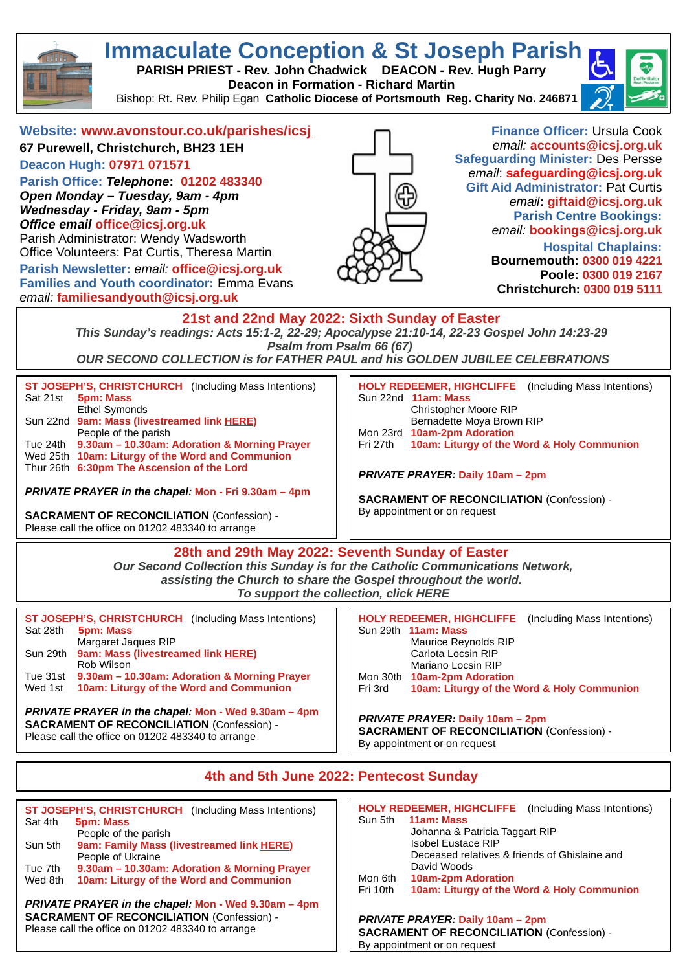

# **Immaculate Conception & St Joseph Parish**

**PARISH PRIEST - Rev. John Chadwick DEACON - Rev. Hugh Parry Deacon in Formation - Richard Martin** 

Bishop: Rt. Rev. Philip Egan **Catholic Diocese of Portsmouth Reg. Charity No. 246871**



## **Website: [www.avonstour.co.uk/parishes/icsj](http://www.avonstour.co.uk/parishes/icsj)**

**67 Purewell, Christchurch, BH23 1EH Deacon Hugh: 07971 071571**

**Parish Office:** *Telephone***: 01202 483340** *Open Monday – Tuesday, 9am - 4pm Wednesday - Friday, 9am - 5pm Office email* **[office@icsj.org.uk](mailto:office@icsj.org.uk)** Parish Administrator: Wendy Wadsworth

Office Volunteers: Pat Curtis, Theresa Martin

**Parish Newsletter:** *email:* **[office@icsj.org.uk](mailto:office@icsj.org.uk) Families and Youth coordinator:** Emma Evans *email:* **familiesandyouth@icsj.org.uk**



**Finance Officer:** Ursula Cook *email:* **[accounts@icsj.org.uk](mailto:accounts@icsj.org.uk) Safeguarding Minister:** Des Persse *email*: **safeguarding@icsj.org.uk Gift Aid Administrator:** Pat Curtis *email***: [giftaid@icsj.org.uk](mailto:giftaid@icsj.org.uk) Parish Centre Bookings:** *email:* **bookings@icsj.org.uk Hospital Chaplains:**

**Bournemouth: 0300 019 4221 Poole: 0300 019 2167 Christchurch: 0300 019 5111**

## **21st and 22nd May 2022: Sixth Sunday of Easter**

*This Sunday's readings: Acts 15:1-2, 22-29; Apocalypse 21:10-14, 22-23 Gospel John 14:23-29 Psalm from Psalm 66 (67)* 

*OUR SECOND COLLECTION is for FATHER PAUL and his GOLDEN JUBILEE CELEBRATIONS*

| <b>ST JOSEPH'S, CHRISTCHURCH</b> (Including Mass Intentions)<br>Sat 21st<br><b>5pm: Mass</b><br>Ethel Symonds<br>Sun 22nd 9am: Mass (livestreamed link HERE)<br>People of the parish<br>Tue 24th 9.30am - 10.30am: Adoration & Morning Prayer<br>Wed 25th 10am: Liturgy of the Word and Communion<br>Thur 26th 6:30pm The Ascension of the Lord<br><b>PRIVATE PRAYER in the chapel: Mon - Fri 9.30am - 4pm</b><br><b>SACRAMENT OF RECONCILIATION (Confession) -</b><br>Please call the office on 01202 483340 to arrange | <b>HOLY REDEEMER, HIGHCLIFFE</b> (Including Mass Intentions)<br>Sun 22nd 11am: Mass<br>Christopher Moore RIP<br>Bernadette Moya Brown RIP<br>Mon 23rd 10am-2pm Adoration<br>10am: Liturgy of the Word & Holy Communion<br>Fri 27th<br><b>PRIVATE PRAYER: Daily 10am – 2pm</b><br><b>SACRAMENT OF RECONCILIATION (Confession) -</b><br>By appointment or on request |  |  |  |  |
|--------------------------------------------------------------------------------------------------------------------------------------------------------------------------------------------------------------------------------------------------------------------------------------------------------------------------------------------------------------------------------------------------------------------------------------------------------------------------------------------------------------------------|--------------------------------------------------------------------------------------------------------------------------------------------------------------------------------------------------------------------------------------------------------------------------------------------------------------------------------------------------------------------|--|--|--|--|
| 28th and 29th May 2022: Seventh Sunday of Easter<br>Our Second Collection this Sunday is for the Catholic Communications Network,<br>assisting the Church to share the Gospel throughout the world.<br>To support the collection, click HERE                                                                                                                                                                                                                                                                             |                                                                                                                                                                                                                                                                                                                                                                    |  |  |  |  |
| ST JOSEPH'S, CHRISTCHURCH (Including Mass Intentions)<br>Sat 28th<br><b>5pm: Mass</b><br>Margaret Jaques RIP                                                                                                                                                                                                                                                                                                                                                                                                             | (Including Mass Intentions)<br><b>HOLY REDEEMER, HIGHCLIFFE</b><br>Sun 29th 11am: Mass<br>Maurice Reynolds RIP                                                                                                                                                                                                                                                     |  |  |  |  |

|          | Margaret Jagues RIP                          |
|----------|----------------------------------------------|
| Sun 29th | <b>9am: Mass (livestreamed link HERE)</b>    |
|          | Rob Wilson                                   |
| Tue 31st | 9.30am – 10.30am: Adoration & Morning Prayer |
| Wed 1st  | 10am: Liturgy of the Word and Communion      |
|          |                                              |

#### *PRIVATE PRAYER in the chapel:* **Mon - Wed 9.30am – 4pm SACRAMENT OF RECONCILIATION** (Confession) - Please call the office on 01202 483340 to arrange

|          |                           | <b>HOLY REDEEMER, HIGHCLIFFE</b> (Including Mass Internuons) |
|----------|---------------------------|--------------------------------------------------------------|
|          | Sun 29th 11am: Mass       |                                                              |
|          | Maurice Reynolds RIP      |                                                              |
|          | Carlota Locsin RIP        |                                                              |
|          | Mariano Locsin RIP        |                                                              |
| Mon 30th | <b>10am-2pm Adoration</b> |                                                              |
| Fri 3rd  |                           | 10am: Liturgy of the Word & Holy Communion                   |
|          |                           |                                                              |

*PRIVATE PRAYER:* **Daily 10am – 2pm SACRAMENT OF RECONCILIATION** (Confession) - By appointment or on request

# **4th and 5th June 2022: Pentecost Sunday**

|                                                   | ST JOSEPH'S, CHRISTCHURCH (Including Mass Intentions) |                                          | <b>HOLY REDEEMER, HIGHCLIFFE</b>              | (Including Mass Intentions)                |
|---------------------------------------------------|-------------------------------------------------------|------------------------------------------|-----------------------------------------------|--------------------------------------------|
| Sat 4th                                           | <b>5pm: Mass</b>                                      | Sun 5th                                  | 11am: Mass                                    |                                            |
|                                                   | People of the parish                                  |                                          | Johanna & Patricia Taggart RIP                |                                            |
| Sun 5th                                           | 9am: Family Mass (livestreamed link HERE)             |                                          | <b>Isobel Eustace RIP</b>                     |                                            |
|                                                   | People of Ukraine                                     |                                          | Deceased relatives & friends of Ghislaine and |                                            |
| Tue 7th                                           | 9.30am - 10.30am: Adoration & Morning Prayer          |                                          | David Woods                                   |                                            |
| Wed 8th                                           | 10am: Liturgy of the Word and Communion               | Mon 6th                                  | <b>10am-2pm Adoration</b>                     |                                            |
|                                                   |                                                       | Fri 10th                                 |                                               | 10am: Liturgy of the Word & Holy Communion |
|                                                   | PRIVATE PRAYER in the chapel: Mon - Wed 9.30am - 4pm  |                                          |                                               |                                            |
| <b>SACRAMENT OF RECONCILIATION (Confession) -</b> |                                                       | <b>PRIVATE PRAYER: Daily 10am - 2pm</b>  |                                               |                                            |
|                                                   | Please call the office on 01202 483340 to arrange     | CACDAMENT OF BECONCILLATION (Confeccion) |                                               |                                            |

**SACRAMENT OF RECONCILIATION** (Confession) - By appointment or on request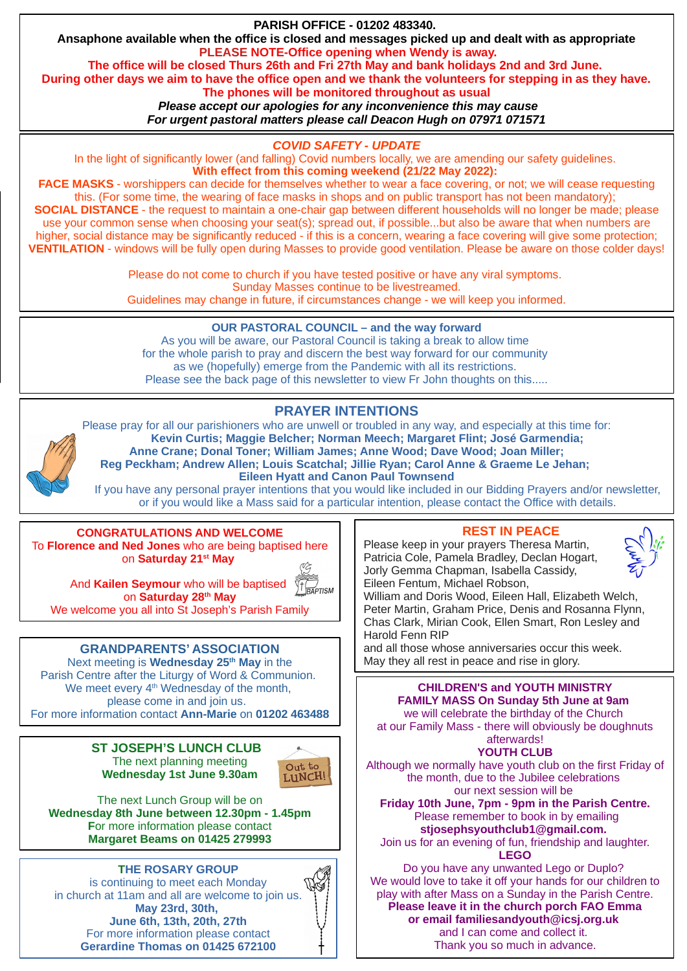

**VENTILATION** - windows will be fully open during Masses to provide good ventilation. Please be aware on those colder days!

Please do not come to church if you have tested positive or have any viral symptoms. Sunday Masses continue to be livestreamed. Guidelines may change in future, if circumstances change - we will keep you informed.

## **OUR PASTORAL COUNCIL – and the way forward**

As you will be aware, our Pastoral Council is taking a break to allow time for the whole parish to pray and discern the best way forward for our community as we (hopefully) emerge from the Pandemic with all its restrictions. Please see the back page of this newsletter to view Fr John thoughts on this.....

# **PRAYER INTENTIONS**



Please pray for all our parishioners who are unwell or troubled in any way, and especially at this time for:  **Kevin Curtis; Maggie Belcher; Norman Meech; Margaret Flint; José Garmendia; Anne Crane; Donal Toner; William James; Anne Wood; Dave Wood; Joan Miller; Reg Peckham; Andrew Allen; Louis Scatchal; Jillie Ryan; Carol Anne & Graeme Le Jehan; Eileen Hyatt and Canon Paul Townsend**

If you have any personal prayer intentions that you would like included in our Bidding Prayers and/or newsletter, or if you would like a Mass said for a particular intention, please contact the Office with details.

#### **CONGRATULATIONS AND WELCOME** To **Florence and Ned Jones** who are being baptised here on **Saturday 21st May**



And **Kailen Seymour** who will be baptised  $\frac{1}{1}$  BAPTISM on **Saturday 28th May**

We welcome you all into St Joseph's Parish Family

## **GRANDPARENTS' ASSOCIATION**

Next meeting is **Wednesday 25th May** in the Parish Centre after the Liturgy of Word & Communion. We meet every 4<sup>th</sup> Wednesday of the month, please come in and join us. For more information contact **Ann-Marie** on **01202 463488**

> **ST JOSEPH'S LUNCH CLUB** The next planning meeting **Wednesday 1st June 9.30am**



The next Lunch Group will be on **Wednesday 8th June between 12.30pm - 1.45pm F**or more information please contact **Margaret Beams on 01425 279993**

**THE ROSARY GROUP** is continuing to meet each Monday [in church at 11am and all are welcome to join us.](http://www.stmaryspoole.org.uk/wp-content/uploads/2022/04/Humanitarian-Relief-for-Ukrainian-Refugees.pdf) **May 23rd, 30th, June 6th, 13th, 20th, 27th** For more information please contact **Gerardine Thomas on 01425 672100**

## **REST IN PEACE**

Please keep in your prayers Theresa Martin, Patricia Cole, Pamela Bradley, Declan Hogart, Jorly Gemma Chapman, Isabella Cassidy, Eileen Fentum, Michael Robson,



William and Doris Wood, Eileen Hall, Elizabeth Welch, Peter Martin, Graham Price, Denis and Rosanna Flynn, Chas Clark, Mirian Cook, Ellen Smart, Ron Lesley and Harold Fenn RIP

and all those whose anniversaries occur this week. May they all rest in peace and rise in glory.

**CHILDREN'S and YOUTH MINISTRY FAMILY MASS On Sunday 5th June at 9am**  we will celebrate the birthday of the Church at our Family Mass - there will obviously be doughnuts afterwards! **YOUTH CLUB**

Although we normally have youth club on the first Friday of the month, due to the Jubilee celebrations our next session will be

**Friday 10th June, 7pm - 9pm in the Parish Centre.** Please remember to book in by emailing **stjosephsyouthclub1@gmail.com.** 

Join us for an evening of fun, friendship and laughter. **LEGO**

Do you have any unwanted Lego or Duplo? We would love to take it off your hands for our children to play with after Mass on a Sunday in the Parish Centre. **Please leave it in the church porch FAO Emma or email familiesandyouth@icsj.org.uk**  and I can come and collect it. Thank you so much in advance.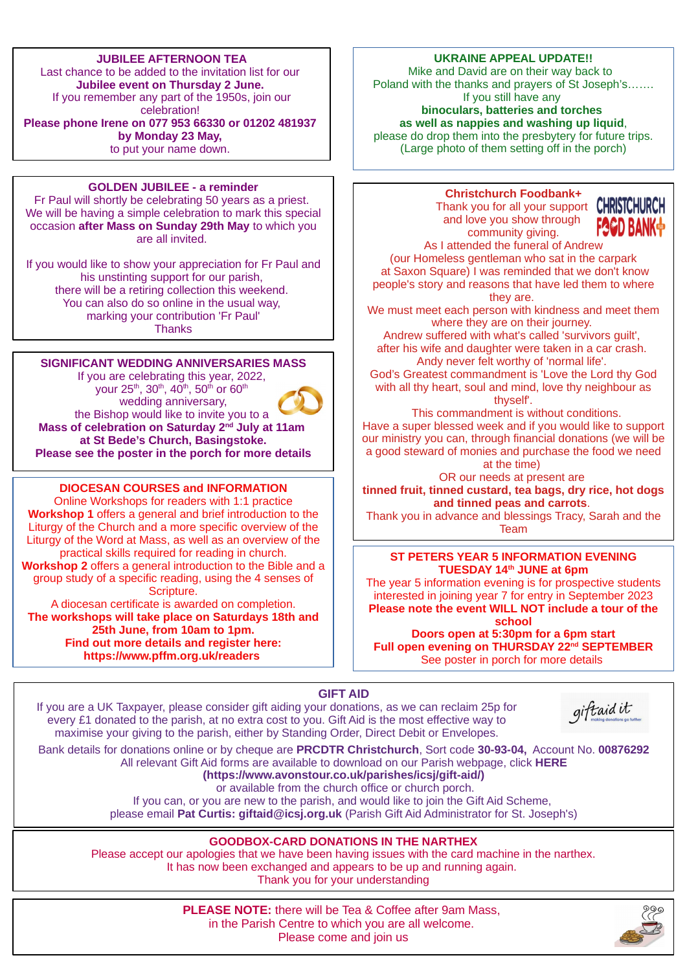## **JUBILEE AFTERNOON TEA**

Last chance to be added to the invitation list for our **Jubilee event on Thursday 2 June.**  If you remember any part of the 1950s, join our celebration! **Please phone Irene on 077 953 66330 or 01202 481937 by Monday 23 May,**  to put your name down.

#### **GOLDEN JUBILEE - a reminder**

Fr Paul will shortly be celebrating 50 years as a priest. We will be having a simple celebration to mark this special occasion **after Mass on Sunday 29th May** to which you are all invited.

If you would like to show your appreciation for Fr Paul and his unstinting support for our parish, there will be a retiring collection this weekend. You can also do so online in the usual way, marking your contribution 'Fr Paul' **Thanks** 

## **SIGNIFICANT WEDDING ANNIVERSARIES MASS**

your 25<sup>th</sup>, 30<sup>th</sup>, 40<sup>th</sup>, 50<sup>th</sup> or 60<sup>th</sup>

If you are celebrating this year, 2022,

wedding anniversary, the Bishop would like to invite you to a **Mass of celebration on Saturday 2nd July at 11am at St Bede's Church, Basingstoke. Please see the poster in the porch for more details**

#### **DIOCESAN COURSES and INFORMATION**

Online Workshops for readers with 1:1 practice **Workshop 1** offers a general and brief introduction to the Liturgy of the Church and a more specific overview of the [Liturgy of the Word at Mass, as well as an overview of the](https://us02web.zoom.us/meeting/register/tZUuceyoqTwjH9cWyP-c-_Vchh-lJrNdNFGI)  practical skills required for reading in church. **Workshop 2** offers a general introduction to the Bible and a group study of a specific reading, using the 4 senses of Scripture.

A diocesan certificate is awarded on completion. **The workshops will take place on Saturdays 18th and 25th June, from 10am to 1pm. Find out more details and register here: https://www.pffm.org.uk/readers** 

#### **UKRAINE APPEAL UPDATE!!**

Mike and David are on their way back to [Poland with the thanks and prayers of St Joseph's…….](http://www.stmaryspoole.org.uk/wp-content/uploads/2022/04/Humanitarian-Relief-for-Ukrainian-Refugees.pdf) If you still have any **binoculars, batteries and torches as well as nappies and washing up liquid**, please do drop them into the presbytery for future trips.

(Large photo of them setting off in the porch)

## **Christchurch Foodbank+**

Thank you for all your support CHRISTCHURC and love you show through community giving.



As I attended the funeral of Andrew (our Homeless gentleman who sat in the carpark at Saxon Square) I was reminded that we don't know people's story and reasons that have led them to where they are.

We must meet each person with kindness and meet them where they are on their journey.

Andrew suffered with what's called 'survivors guilt', after his wife and daughter were taken in a car crash. Andy never felt worthy of 'normal life'.

God's Greatest commandment is 'Love the Lord thy God with all thy heart, soul and mind, love thy neighbour as thyself'.

 This commandment is without conditions. Have a super blessed week and if you would like to support our ministry you can, through financial donations (we will be a good steward of monies and purchase the food we need at the time)

OR our needs at present are **tinned fruit, tinned custard, tea bags, dry rice, hot dogs and tinned peas and carrots**.

Thank you in advance and blessings Tracy, Sarah and the Team

#### **ST PETERS YEAR 5 INFORMATION EVENING TUESDAY 14th JUNE at 6pm**

[The year 5 information evening is for prospective students](https://us02web.zoom.us/meeting/register/tZUuceyoqTwjH9cWyP-c-_Vchh-lJrNdNFGI)  interested in joining year 7 for entry in September 2023 **Please note the event WILL NOT include a tour of the school Doors open at 5:30pm for a 6pm start**

**Full open evening on THURSDAY 22nd SEPTEMBER** See poster in porch for more details

## **GIFT AID**

If you are a UK Taxpayer, please consider gift aiding your donations, as we can reclaim 25p for every £1 donated to the parish, at no extra cost to you. Gift Aid is the most effective way to maximise your giving to the parish, either by Standing Order, Direct Debit or Envelopes.

| giftaid it |  |
|------------|--|
|            |  |

Bank details for donations online or by cheque are **PRCDTR Christchurch**, Sort code **30-93-04,** Account No. **00876292** All relevant Gift Aid forms are available to download on our Parish webpage, click **[HERE](https://www.avonstour.co.uk/parishes/icsj/gift-aid/) (https://www.avonstour.co.uk/parishes/icsj/gift-aid/)** or available from the church office or church porch. If you can, or you are new to the parish, and would like to join the Gift Aid Scheme,

please email **Pat Curtis: giftaid@icsj.org.uk** (Parish Gift Aid Administrator for St. Joseph's)

## **GOODBOX-CARD DONATIONS IN THE NARTHEX**

Please accept our apologies that we have been having issues with the card machine in the narthex. It has now been exchanged and appears to be up and running again. Thank you for your understanding

> **PLEASE NOTE:** there will be Tea & Coffee after 9am Mass, in the Parish Centre to which you are all welcome. Please come and join us